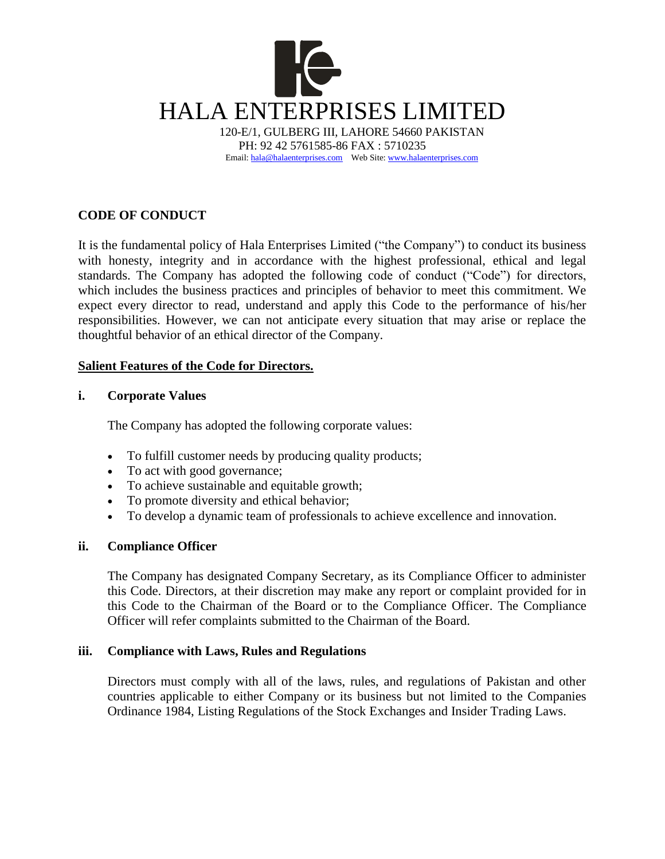

# **CODE OF CONDUCT**

It is the fundamental policy of Hala Enterprises Limited ("the Company") to conduct its business with honesty, integrity and in accordance with the highest professional, ethical and legal standards. The Company has adopted the following code of conduct ("Code") for directors, which includes the business practices and principles of behavior to meet this commitment. We expect every director to read, understand and apply this Code to the performance of his/her responsibilities. However, we can not anticipate every situation that may arise or replace the thoughtful behavior of an ethical director of the Company.

# **Salient Features of the Code for Directors.**

### **i. Corporate Values**

The Company has adopted the following corporate values:

- To fulfill customer needs by producing quality products;
- To act with good governance;
- To achieve sustainable and equitable growth;
- To promote diversity and ethical behavior;
- To develop a dynamic team of professionals to achieve excellence and innovation.

# **ii. Compliance Officer**

The Company has designated Company Secretary, as its Compliance Officer to administer this Code. Directors, at their discretion may make any report or complaint provided for in this Code to the Chairman of the Board or to the Compliance Officer. The Compliance Officer will refer complaints submitted to the Chairman of the Board.

### **iii. Compliance with Laws, Rules and Regulations**

Directors must comply with all of the laws, rules, and regulations of Pakistan and other countries applicable to either Company or its business but not limited to the Companies Ordinance 1984, Listing Regulations of the Stock Exchanges and Insider Trading Laws.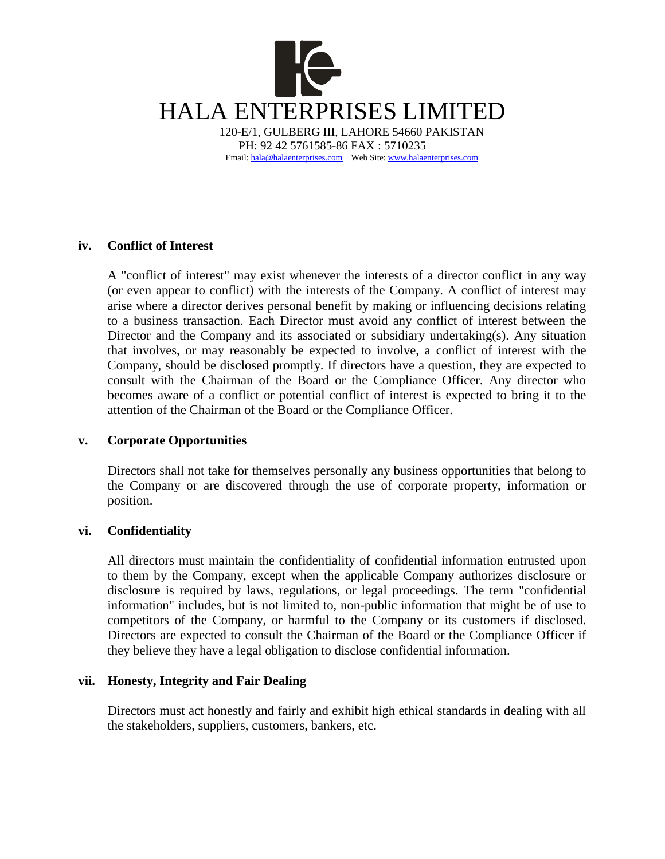

# **iv. Conflict of Interest**

A "conflict of interest" may exist whenever the interests of a director conflict in any way (or even appear to conflict) with the interests of the Company. A conflict of interest may arise where a director derives personal benefit by making or influencing decisions relating to a business transaction. Each Director must avoid any conflict of interest between the Director and the Company and its associated or subsidiary undertaking(s). Any situation that involves, or may reasonably be expected to involve, a conflict of interest with the Company, should be disclosed promptly. If directors have a question, they are expected to consult with the Chairman of the Board or the Compliance Officer. Any director who becomes aware of a conflict or potential conflict of interest is expected to bring it to the attention of the Chairman of the Board or the Compliance Officer.

# **v. Corporate Opportunities**

Directors shall not take for themselves personally any business opportunities that belong to the Company or are discovered through the use of corporate property, information or position.

# **vi. Confidentiality**

All directors must maintain the confidentiality of confidential information entrusted upon to them by the Company, except when the applicable Company authorizes disclosure or disclosure is required by laws, regulations, or legal proceedings. The term "confidential information" includes, but is not limited to, non-public information that might be of use to competitors of the Company, or harmful to the Company or its customers if disclosed. Directors are expected to consult the Chairman of the Board or the Compliance Officer if they believe they have a legal obligation to disclose confidential information.

# **vii. Honesty, Integrity and Fair Dealing**

Directors must act honestly and fairly and exhibit high ethical standards in dealing with all the stakeholders, suppliers, customers, bankers, etc.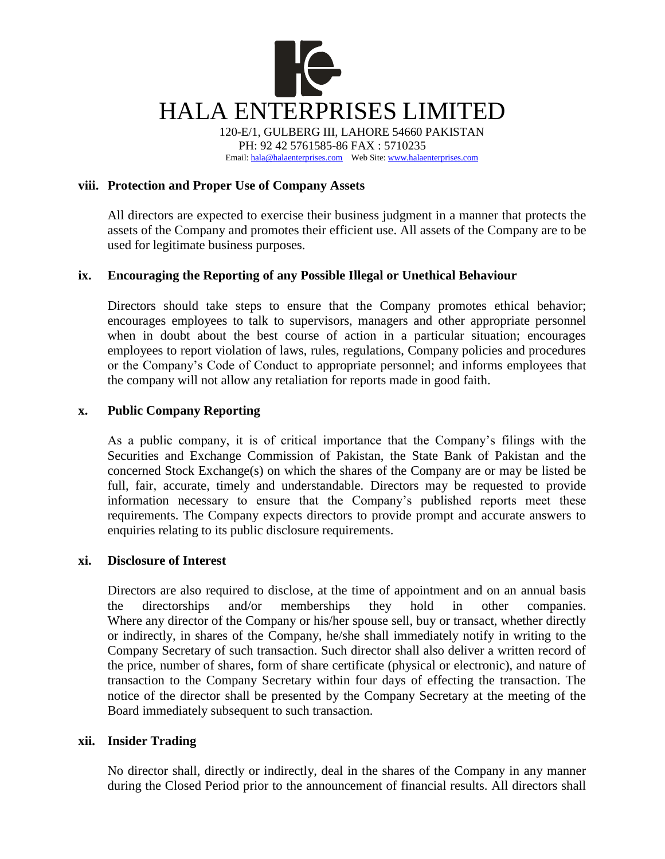

PH: 92 42 5761585-86 FAX : 5710235 Email[: hala@halaenterprises.com](mailto:hala@halaenterprises.com) Web Site[: www.halaenterprises.com](http://www.halaenterprises.com/)

# **viii. Protection and Proper Use of Company Assets**

All directors are expected to exercise their business judgment in a manner that protects the assets of the Company and promotes their efficient use. All assets of the Company are to be used for legitimate business purposes.

# **ix. Encouraging the Reporting of any Possible Illegal or Unethical Behaviour**

Directors should take steps to ensure that the Company promotes ethical behavior; encourages employees to talk to supervisors, managers and other appropriate personnel when in doubt about the best course of action in a particular situation; encourages employees to report violation of laws, rules, regulations, Company policies and procedures or the Company's Code of Conduct to appropriate personnel; and informs employees that the company will not allow any retaliation for reports made in good faith.

### **x. Public Company Reporting**

As a public company, it is of critical importance that the Company's filings with the Securities and Exchange Commission of Pakistan, the State Bank of Pakistan and the concerned Stock Exchange(s) on which the shares of the Company are or may be listed be full, fair, accurate, timely and understandable. Directors may be requested to provide information necessary to ensure that the Company's published reports meet these requirements. The Company expects directors to provide prompt and accurate answers to enquiries relating to its public disclosure requirements.

### **xi. Disclosure of Interest**

Directors are also required to disclose, at the time of appointment and on an annual basis the directorships and/or memberships they hold in other companies. Where any director of the Company or his/her spouse sell, buy or transact, whether directly or indirectly, in shares of the Company, he/she shall immediately notify in writing to the Company Secretary of such transaction. Such director shall also deliver a written record of the price, number of shares, form of share certificate (physical or electronic), and nature of transaction to the Company Secretary within four days of effecting the transaction. The notice of the director shall be presented by the Company Secretary at the meeting of the Board immediately subsequent to such transaction.

### **xii. Insider Trading**

No director shall, directly or indirectly, deal in the shares of the Company in any manner during the Closed Period prior to the announcement of financial results. All directors shall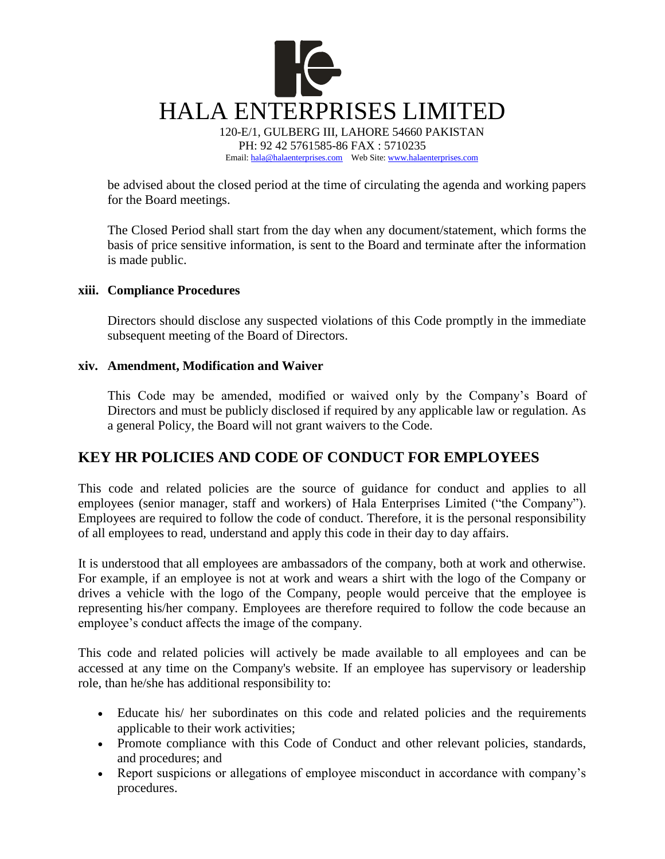

be advised about the closed period at the time of circulating the agenda and working papers for the Board meetings.

The Closed Period shall start from the day when any document/statement, which forms the basis of price sensitive information, is sent to the Board and terminate after the information is made public.

### **xiii. Compliance Procedures**

Directors should disclose any suspected violations of this Code promptly in the immediate subsequent meeting of the Board of Directors.

### **xiv. Amendment, Modification and Waiver**

This Code may be amended, modified or waived only by the Company's Board of Directors and must be publicly disclosed if required by any applicable law or regulation. As a general Policy, the Board will not grant waivers to the Code.

# **KEY HR POLICIES AND CODE OF CONDUCT FOR EMPLOYEES**

This code and related policies are the source of guidance for conduct and applies to all employees (senior manager, staff and workers) of Hala Enterprises Limited ("the Company"). Employees are required to follow the code of conduct. Therefore, it is the personal responsibility of all employees to read, understand and apply this code in their day to day affairs.

It is understood that all employees are ambassadors of the company, both at work and otherwise. For example, if an employee is not at work and wears a shirt with the logo of the Company or drives a vehicle with the logo of the Company, people would perceive that the employee is representing his/her company. Employees are therefore required to follow the code because an employee's conduct affects the image of the company.

This code and related policies will actively be made available to all employees and can be accessed at any time on the Company's website. If an employee has supervisory or leadership role, than he/she has additional responsibility to:

- Educate his/ her subordinates on this code and related policies and the requirements applicable to their work activities;
- Promote compliance with this Code of Conduct and other relevant policies, standards, and procedures; and
- Report suspicions or allegations of employee misconduct in accordance with company's procedures.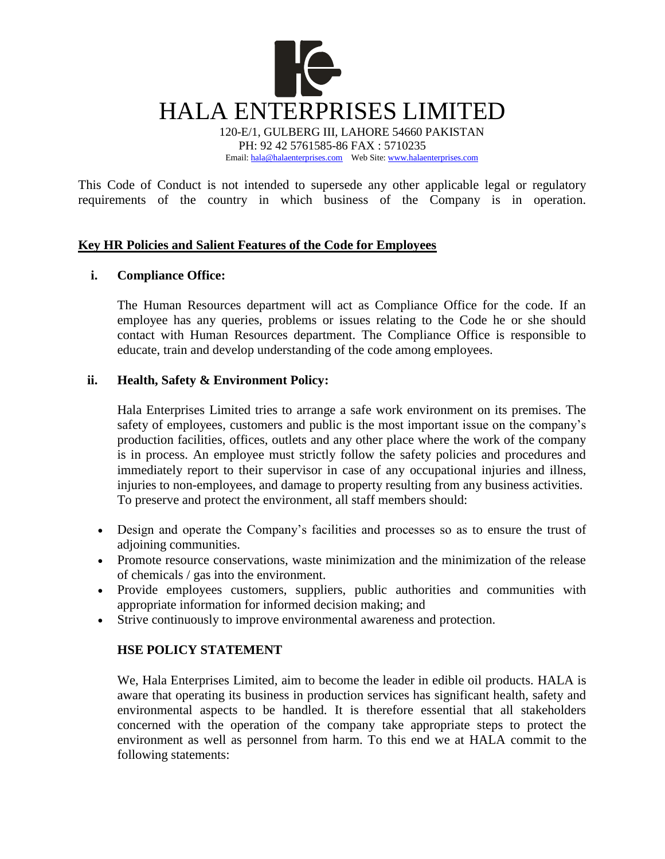

Email[: hala@halaenterprises.com](mailto:hala@halaenterprises.com) Web Site[: www.halaenterprises.com](http://www.halaenterprises.com/)

This Code of Conduct is not intended to supersede any other applicable legal or regulatory requirements of the country in which business of the Company is in operation.

# **Key HR Policies and Salient Features of the Code for Employees**

# **i. Compliance Office:**

The Human Resources department will act as Compliance Office for the code. If an employee has any queries, problems or issues relating to the Code he or she should contact with Human Resources department. The Compliance Office is responsible to educate, train and develop understanding of the code among employees.

# **ii. Health, Safety & Environment Policy:**

Hala Enterprises Limited tries to arrange a safe work environment on its premises. The safety of employees, customers and public is the most important issue on the company's production facilities, offices, outlets and any other place where the work of the company is in process. An employee must strictly follow the safety policies and procedures and immediately report to their supervisor in case of any occupational injuries and illness, injuries to non-employees, and damage to property resulting from any business activities. To preserve and protect the environment, all staff members should:

- Design and operate the Company's facilities and processes so as to ensure the trust of adioining communities.
- Promote resource conservations, waste minimization and the minimization of the release of chemicals / gas into the environment.
- Provide employees customers, suppliers, public authorities and communities with appropriate information for informed decision making; and
- Strive continuously to improve environmental awareness and protection.

# **HSE POLICY STATEMENT**

We, Hala Enterprises Limited, aim to become the leader in edible oil products. HALA is aware that operating its business in production services has significant health, safety and environmental aspects to be handled. It is therefore essential that all stakeholders concerned with the operation of the company take appropriate steps to protect the environment as well as personnel from harm. To this end we at HALA commit to the following statements: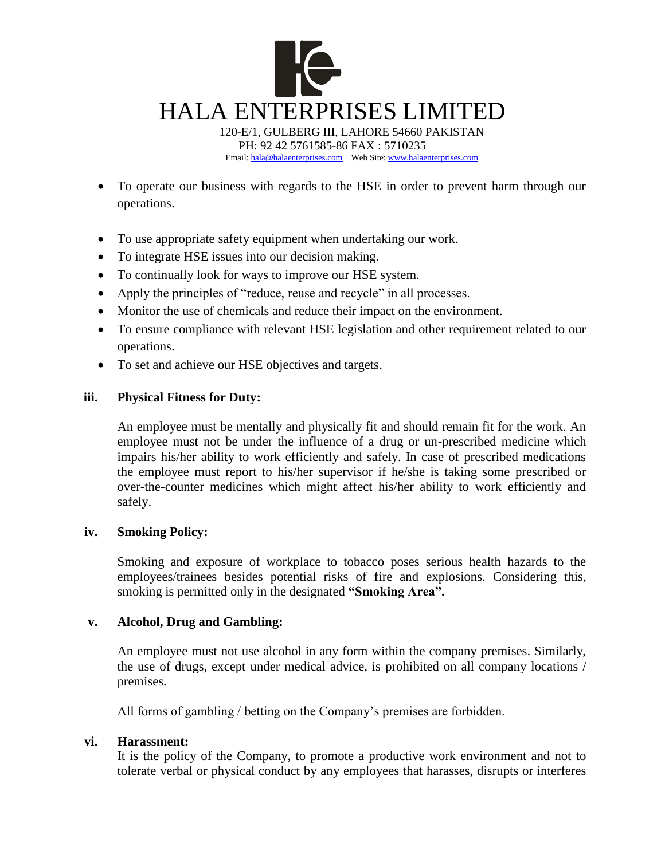

Email[: hala@halaenterprises.com](mailto:hala@halaenterprises.com) Web Site[: www.halaenterprises.com](http://www.halaenterprises.com/)

- To operate our business with regards to the HSE in order to prevent harm through our operations.
- To use appropriate safety equipment when undertaking our work.
- To integrate HSE issues into our decision making.
- To continually look for ways to improve our HSE system.
- Apply the principles of "reduce, reuse and recycle" in all processes.
- Monitor the use of chemicals and reduce their impact on the environment.
- To ensure compliance with relevant HSE legislation and other requirement related to our operations.
- To set and achieve our HSE objectives and targets.

# **iii. Physical Fitness for Duty:**

An employee must be mentally and physically fit and should remain fit for the work. An employee must not be under the influence of a drug or un-prescribed medicine which impairs his/her ability to work efficiently and safely. In case of prescribed medications the employee must report to his/her supervisor if he/she is taking some prescribed or over-the-counter medicines which might affect his/her ability to work efficiently and safely.

# **iv. Smoking Policy:**

Smoking and exposure of workplace to tobacco poses serious health hazards to the employees/trainees besides potential risks of fire and explosions. Considering this, smoking is permitted only in the designated **"Smoking Area".**

# **v. Alcohol, Drug and Gambling:**

An employee must not use alcohol in any form within the company premises. Similarly, the use of drugs, except under medical advice, is prohibited on all company locations / premises.

All forms of gambling / betting on the Company's premises are forbidden.

# **vi. Harassment:**

It is the policy of the Company, to promote a productive work environment and not to tolerate verbal or physical conduct by any employees that harasses, disrupts or interferes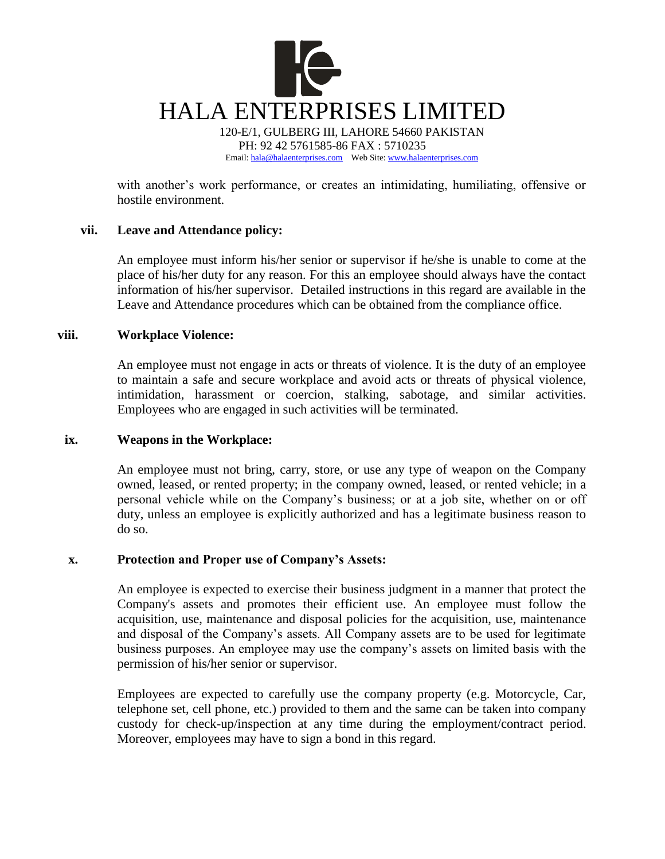

with another's work performance, or creates an intimidating, humiliating, offensive or hostile environment.

### **vii. Leave and Attendance policy:**

An employee must inform his/her senior or supervisor if he/she is unable to come at the place of his/her duty for any reason. For this an employee should always have the contact information of his/her supervisor. Detailed instructions in this regard are available in the Leave and Attendance procedures which can be obtained from the compliance office.

### **viii. Workplace Violence:**

An employee must not engage in acts or threats of violence. It is the duty of an employee to maintain a safe and secure workplace and avoid acts or threats of physical violence, intimidation, harassment or coercion, stalking, sabotage, and similar activities. Employees who are engaged in such activities will be terminated.

### **ix. Weapons in the Workplace:**

An employee must not bring, carry, store, or use any type of weapon on the Company owned, leased, or rented property; in the company owned, leased, or rented vehicle; in a personal vehicle while on the Company's business; or at a job site, whether on or off duty, unless an employee is explicitly authorized and has a legitimate business reason to do so.

# **x. Protection and Proper use of Company's Assets:**

An employee is expected to exercise their business judgment in a manner that protect the Company's assets and promotes their efficient use. An employee must follow the acquisition, use, maintenance and disposal policies for the acquisition, use, maintenance and disposal of the Company's assets. All Company assets are to be used for legitimate business purposes. An employee may use the company's assets on limited basis with the permission of his/her senior or supervisor.

Employees are expected to carefully use the company property (e.g. Motorcycle, Car, telephone set, cell phone, etc.) provided to them and the same can be taken into company custody for check-up/inspection at any time during the employment/contract period. Moreover, employees may have to sign a bond in this regard.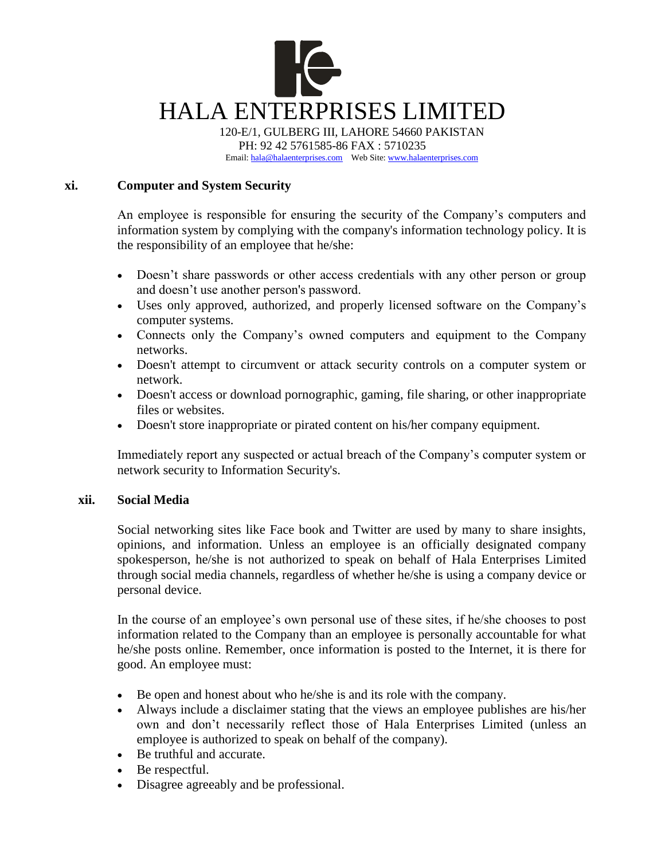

120-E/1, GULBERG III, LAHORE 54660 PAKISTAN PH: 92 42 5761585-86 FAX : 5710235 Email[: hala@halaenterprises.com](mailto:hala@halaenterprises.com) Web Site[: www.halaenterprises.com](http://www.halaenterprises.com/)

# **xi. Computer and System Security**

An employee is responsible for ensuring the security of the Company's computers and information system by complying with the company's information technology policy. It is the responsibility of an employee that he/she:

- Doesn't share passwords or other access credentials with any other person or group and doesn't use another person's password.
- Uses only approved, authorized, and properly licensed software on the Company's computer systems.
- Connects only the Company's owned computers and equipment to the Company networks.
- Doesn't attempt to circumvent or attack security controls on a computer system or network.
- Doesn't access or download pornographic, gaming, file sharing, or other inappropriate files or websites.
- Doesn't store inappropriate or pirated content on his/her company equipment.

Immediately report any suspected or actual breach of the Company's computer system or network security to Information Security's.

# **xii. Social Media**

Social networking sites like Face book and Twitter are used by many to share insights, opinions, and information. Unless an employee is an officially designated company spokesperson, he/she is not authorized to speak on behalf of Hala Enterprises Limited through social media channels, regardless of whether he/she is using a company device or personal device.

In the course of an employee's own personal use of these sites, if he/she chooses to post information related to the Company than an employee is personally accountable for what he/she posts online. Remember, once information is posted to the Internet, it is there for good. An employee must:

- Be open and honest about who he/she is and its role with the company.
- Always include a disclaimer stating that the views an employee publishes are his/her own and don't necessarily reflect those of Hala Enterprises Limited (unless an employee is authorized to speak on behalf of the company).
- Be truthful and accurate.
- Be respectful.
- Disagree agreeably and be professional.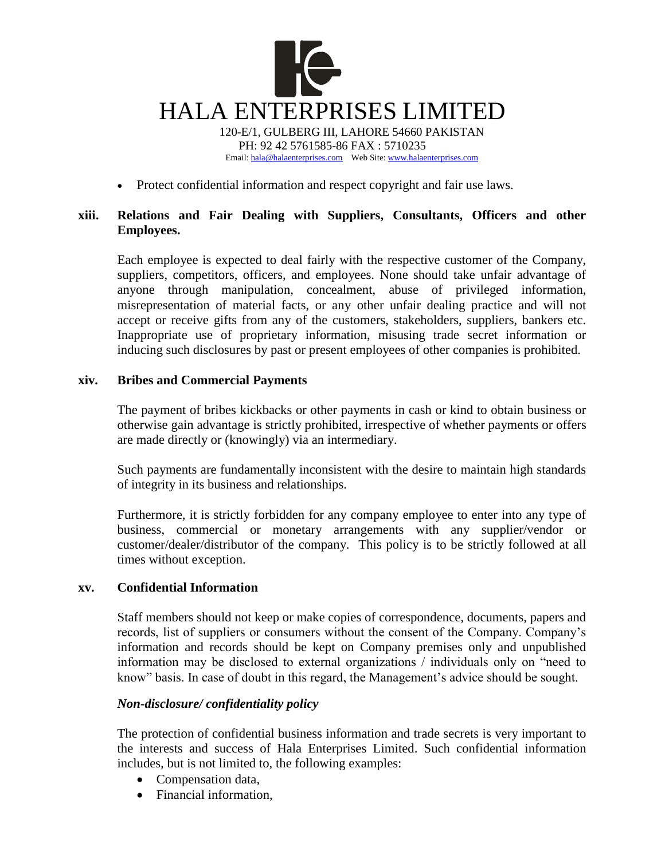

• Protect confidential information and respect copyright and fair use laws.

# **xiii. Relations and Fair Dealing with Suppliers, Consultants, Officers and other Employees.**

Each employee is expected to deal fairly with the respective customer of the Company, suppliers, competitors, officers, and employees. None should take unfair advantage of anyone through manipulation, concealment, abuse of privileged information, misrepresentation of material facts, or any other unfair dealing practice and will not accept or receive gifts from any of the customers, stakeholders, suppliers, bankers etc. Inappropriate use of proprietary information, misusing trade secret information or inducing such disclosures by past or present employees of other companies is prohibited.

# **xiv. Bribes and Commercial Payments**

The payment of bribes kickbacks or other payments in cash or kind to obtain business or otherwise gain advantage is strictly prohibited, irrespective of whether payments or offers are made directly or (knowingly) via an intermediary.

Such payments are fundamentally inconsistent with the desire to maintain high standards of integrity in its business and relationships.

Furthermore, it is strictly forbidden for any company employee to enter into any type of business, commercial or monetary arrangements with any supplier/vendor or customer/dealer/distributor of the company. This policy is to be strictly followed at all times without exception.

# **xv. Confidential Information**

Staff members should not keep or make copies of correspondence, documents, papers and records, list of suppliers or consumers without the consent of the Company. Company's information and records should be kept on Company premises only and unpublished information may be disclosed to external organizations / individuals only on "need to know" basis. In case of doubt in this regard, the Management's advice should be sought.

# *Non-disclosure/ confidentiality policy*

The protection of confidential business information and trade secrets is very important to the interests and success of Hala Enterprises Limited. Such confidential information includes, but is not limited to, the following examples:

- Compensation data,
- Financial information,